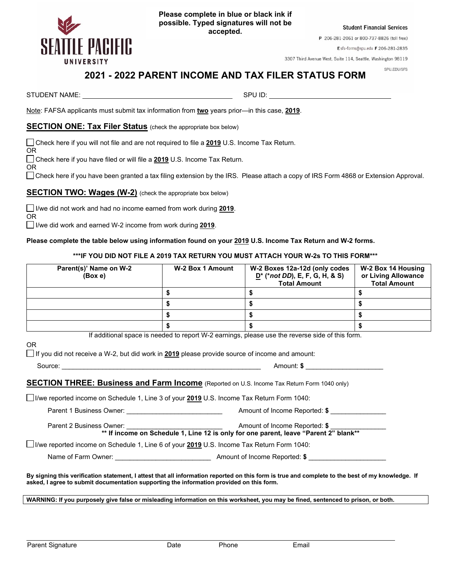

**Please complete in blue or black ink if possible. Typed signatures will not be accepted.**

**Student Financial Services** 

P 206-281-2061 or 800-737-8826 (toll free)

Esfs-forms@spu.edu F 206-281-2835

3307 Third Avenue West, Suite 114, Seattle, Washington 98119

#### SPU.EDU/SFS

# **2021 - 2022 PARENT INCOME AND TAX FILER STATUS FORM**

STUDENT NAME: SPU ID:

OR

OR

OR

Note: FAFSA applicants must submit tax information from **two** years prior—in this case, **2019**.

# **SECTION ONE: Tax Filer Status** (check the appropriate box below)

Check here if you will not file and are not required to file a **2019** U.S. Income Tax Return.

Check here if you have filed or will file a **2019** U.S. Income Tax Return.

Check here if you have been granted a tax filing extension by the IRS. Please attach a copy of IRS Form 4868 or Extension Approval.

# **SECTION TWO: Wages (W-2)** (check the appropriate box below)

I/we did not work and had no income earned from work during **2019**.

I/we did work and earned W-2 income from work during **2019**.

#### **Please complete the table below using information found on your 2019 U.S. Income Tax Return and W-2 forms.**

#### **\*\*\*IF YOU DID NOT FILE A 2019 TAX RETURN YOU MUST ATTACH YOUR W-2s TO THIS FORM\*\*\***

| Parent(s)' Name on W-2<br>(Box e) | W-2 Box 1 Amount | W-2 Boxes 12a-12d (only codes<br>$D^*$ (*not DD), E, F, G, H, & S)<br><b>Total Amount</b> | W-2 Box 14 Housing<br>or Living Allowance<br><b>Total Amount</b> |
|-----------------------------------|------------------|-------------------------------------------------------------------------------------------|------------------------------------------------------------------|
|                                   |                  |                                                                                           |                                                                  |
|                                   |                  |                                                                                           |                                                                  |
|                                   |                  |                                                                                           |                                                                  |
|                                   |                  |                                                                                           |                                                                  |

If additional space is needed to report W-2 earnings, please use the reverse side of this form.

If you did not receive a W-2, but did work in **2019** please provide source of income and amount:

OR

| Source: | Amount: |  |
|---------|---------|--|
|         |         |  |

# **SECTION THREE: Business and Farm Income** (Reported on U.S. Income Tax Return Form 1040 only)

I/we reported income on Schedule 1, Line 3 of your **2019** U.S. Income Tax Return Form 1040:

Parent 1 Business Owner:  $\bullet$  **Parent 1 Business Owner:**  $\bullet$  **Amount of Income Reported: \$** Parent 2 Business Owner:  $\bullet$  **Parent 2 Business Owner:**  $\bullet$  **3**  $\bullet$  **6**  $\bullet$  **6**  $\bullet$  **6**  $\bullet$  **6**  $\bullet$  **6**  $\bullet$  **6**  $\bullet$  **6**  $\bullet$  **6**  $\bullet$  **6**  $\bullet$  **6**  $\bullet$  **6**  $\bullet$  **6**  $\bullet$  **6**  $\bullet$  **6**  $\bullet$  **6**  $\bullet$  **6**  $\bullet$  **6**  $\bullet$ 

**\*\* If income on Schedule 1, Line 12 is only for one parent, leave "Parent 2" blank\*\***

I/we reported income on Schedule 1, Line 6 of your **2019** U.S. Income Tax Return Form 1040:

Name of Farm Owner: \_\_\_\_\_\_\_\_\_\_\_\_\_\_\_\_\_\_\_\_\_\_\_\_\_\_ Amount of Income Reported: **\$** \_\_\_\_\_\_\_\_\_\_\_\_\_\_\_\_\_\_\_\_\_

**By signing this verification statement, I attest that all information reported on this form is true and complete to the best of my knowledge. If asked, I agree to submit documentation supporting the information provided on this form.**

**WARNING: If you purposely give false or misleading information on this worksheet, you may be fined, sentenced to prison, or both.**